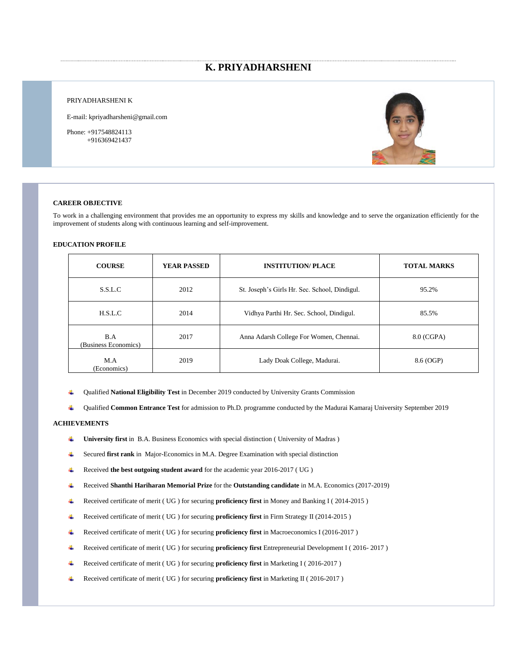# **K. PRIYADHARSHENI**

#### PRIYADHARSHENI K

E-mail: kpriyadharsheni@gmail.com

Phone: +917548824113 +916369421437



#### **CAREER OBJECTIVE**

To work in a challenging environment that provides me an opportunity to express my skills and knowledge and to serve the organization efficiently for the improvement of students along with continuous learning and self-improvement.

### **EDUCATION PROFILE**

| <b>COURSE</b>               | <b>YEAR PASSED</b> | <b>INSTITUTION/PLACE</b>                      | <b>TOTAL MARKS</b> |
|-----------------------------|--------------------|-----------------------------------------------|--------------------|
| S.S.L.C                     | 2012               | St. Joseph's Girls Hr. Sec. School, Dindigul. | 95.2%              |
| H.S.L.C                     | 2014               | Vidhya Parthi Hr. Sec. School, Dindigul.      | 85.5%              |
| B.A<br>(Business Economics) | 2017               | Anna Adarsh College For Women, Chennai.       | 8.0 (CGPA)         |
| M.A<br>(Economics)          | 2019               | Lady Doak College, Madurai.                   | 8.6 (OGP)          |

- 4 Qualified **National Eligibility Test** in December 2019 conducted by University Grants Commission
- Qualified **Common Entrance Test** for admission to Ph.D. programme conducted by the Madurai Kamaraj University September 2019 di l

### **ACHIEVEMENTS**

- ₩. **University first** in B.A. Business Economics with special distinction ( University of Madras )
- Secured **first rank** in Major-Economics in M.A. Degree Examination with special distinction ⊕.
- ₩. Received **the best outgoing student award** for the academic year 2016-2017 ( UG )
- Received **Shanthi Hariharan Memorial Prize** for the **Outstanding candidate** in M.A. Economics (2017-2019) ₩.
- Received certificate of merit ( UG ) for securing **proficiency first** in Money and Banking I ( 2014-2015 ) 4.
- Received certificate of merit ( UG ) for securing **proficiency first** in Firm Strategy II (2014-2015 ) ٠
- Received certificate of merit ( UG ) for securing **proficiency first** in Macroeconomics I (2016-2017 ) ₩.
- Received certificate of merit ( UG ) for securing **proficiency first** Entrepreneurial Development I ( 2016- 2017 ) ÷
- Received certificate of merit ( UG ) for securing **proficiency first** in Marketing I ( 2016-2017 )
- Received certificate of merit ( UG ) for securing **proficiency first** in Marketing II ( 2016-2017 ) 生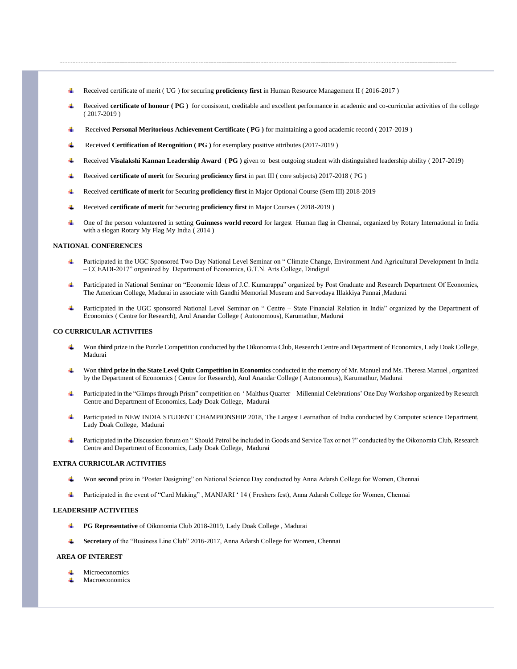- Received certificate of merit ( UG ) for securing **proficiency first** in Human Resource Management II ( 2016-2017 )
- Received **certificate of honour ( PG )** for consistent, creditable and excellent performance in academic and co-curricular activities of the college ( 2017-2019 )
- Received **Personal Meritorious Achievement Certificate ( PG )** for maintaining a good academic record ( 2017-2019 )
- Received **Certification of Recognition ( PG )** for exemplary positive attributes (2017-2019 )
- Received **Visalakshi Kannan Leadership Award ( PG )** given to best outgoing student with distinguished leadership ability ( 2017-2019)
- Received **certificate of merit** for Securing **proficiency first** in part III ( core subjects) 2017-2018 ( PG )
- Received **certificate of merit** for Securing **proficiency first** in Major Optional Course (Sem III) 2018-2019
- Received **certificate of merit** for Securing **proficiency first** in Major Courses ( 2018-2019 )
- One of the person volunteered in setting **Guinness world record** for largest Human flag in Chennai, organized by Rotary International in India with a slogan Rotary My Flag My India ( 2014 )

### **NATIONAL CONFERENCES**

- Participated in the UGC Sponsored Two Day National Level Seminar on " Climate Change, Environment And Agricultural Development In India – CCEADI-2017" organized by Department of Economics, G.T.N. Arts College, Dindigul
- Participated in National Seminar on "Economic Ideas of J.C. Kumarappa" organized by Post Graduate and Research Department Of Economics, The American College, Madurai in associate with Gandhi Memorial Museum and Sarvodaya Illakkiya Pannai ,Madurai
- Participated in the UGC sponsored National Level Seminar on " Centre State Financial Relation in India" organized by the Department of Economics ( Centre for Research), Arul Anandar College ( Autonomous), Karumathur, Madurai

#### **CO CURRICULAR ACTIVITIES**

- Won third prize in the Puzzle Competition conducted by the Oikonomia Club, Research Centre and Department of Economics, Lady Doak College, Madurai
- Won **third prize in the State Level Quiz Competition in Economics** conducted in the memory of Mr. Manuel and Ms. Theresa Manuel , organized by the Department of Economics ( Centre for Research), Arul Anandar College ( Autonomous), Karumathur, Madurai
- Participated in the "Glimps through Prism" competition on ' Malthus Quarter Millennial Celebrations' One Day Workshop organized by Research Centre and Department of Economics, Lady Doak College, Madurai
- Participated in NEW INDIA STUDENT CHAMPIONSHIP 2018, The Largest Learnathon of India conducted by Computer science Department, Lady Doak College, Madurai
- Participated in the Discussion forum on " Should Petrol be included in Goods and Service Tax or not ?" conducted by the Oikonomia Club, Research Centre and Department of Economics, Lady Doak College, Madurai

#### **EXTRA CURRICULAR ACTIVITIES**

- Won **second** prize in "Poster Designing" on National Science Day conducted by Anna Adarsh College for Women, Chennai
- Participated in the event of "Card Making" , MANJARI ' 14 ( Freshers fest), Anna Adarsh College for Women, Chennai

#### **LEADERSHIP ACTIVITIES**

- **PG Representative** of Oikonomia Club 2018-2019, Lady Doak College , Madurai
- **Secretary** of the "Business Line Club" 2016-2017, Anna Adarsh College for Women, Chennai

#### **AREA OF INTEREST**

- Microeconomics
- Macroeconomics